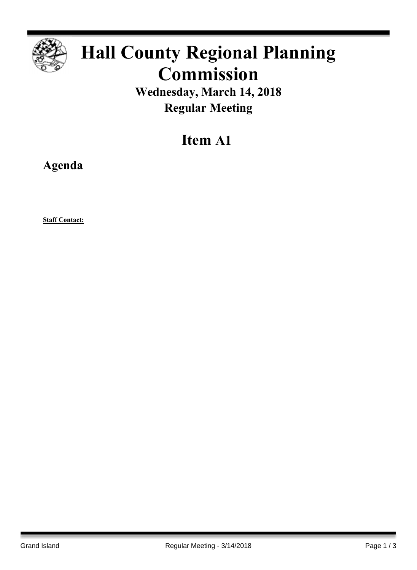

## **Hall County Regional Planning Commission**

**Wednesday, March 14, 2018 Regular Meeting**

## **Item A1**

**Agenda**

**Staff Contact:**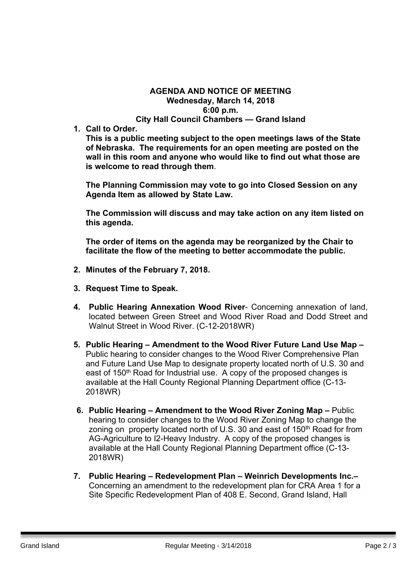## **AGENDA AND NOTICE OF MEETING Wednesday, March 14, 2018 6:00 p.m. City Hall Council Chambers — Grand Island**

**1. Call to Order.**

**This is a public meeting subject to the open meetings laws of the State of Nebraska. The requirements for an open meeting are posted on the wall in this room and anyone who would like to find out what those are is welcome to read through them**.

**The Planning Commission may vote to go into Closed Session on any Agenda Item as allowed by State Law.**

**The Commission will discuss and may take action on any item listed on this agenda.**

**The order of items on the agenda may be reorganized by the Chair to facilitate the flow of the meeting to better accommodate the public.**

- **2. Minutes of the February 7, 2018.**
- **3. Request Time to Speak.**
- **4. Public Hearing Annexation Wood River** Concerning annexation of land, located between Green Street and Wood River Road and Dodd Street and Walnut Street in Wood River. (C-12-2018WR)
- **5. Public Hearing – Amendment to the Wood River Future Land Use Map –** Public hearing to consider changes to the Wood River Comprehensive Plan and Future Land Use Map to designate property located north of U.S. 30 and east of 150<sup>th</sup> Road for Industrial use. A copy of the proposed changes is available at the Hall County Regional Planning Department office (C-13- 2018WR)
- **6. Public Hearing – Amendment to the Wood River Zoning Map –** Public hearing to consider changes to the Wood River Zoning Map to change the zoning on property located north of U.S. 30 and east of 150<sup>th</sup> Road for from AG-Agriculture to I2-Heavy Industry. A copy of the proposed changes is available at the Hall County Regional Planning Department office (C-13- 2018WR)
- **7. Public Hearing – Redevelopment Plan – Weinrich Developments Inc.–** Concerning an amendment to the redevelopment plan for CRA Area 1 for a Site Specific Redevelopment Plan of 408 E. Second, Grand Island, Hall